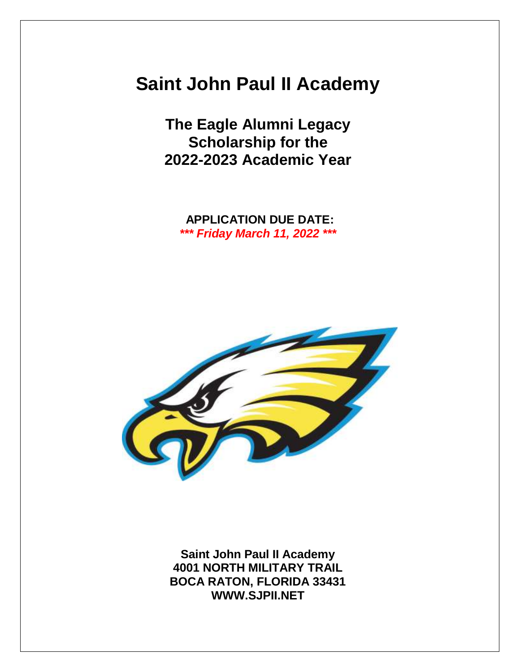# **Saint John Paul II Academy**

**The Eagle Alumni Legacy Scholarship for the 2022-2023 Academic Year**

**APPLICATION DUE DATE:** *\*\*\* Friday March 11, 2022 \*\*\**



**Saint John Paul II Academy 4001 NORTH MILITARY TRAIL BOCA RATON, FLORIDA 33431 WWW.SJPII.NET**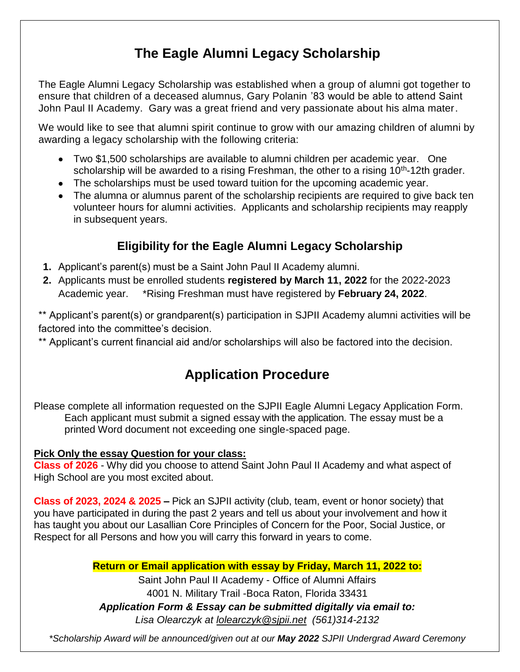## **The Eagle Alumni Legacy Scholarship**

The Eagle Alumni Legacy Scholarship was established when a group of alumni got together to ensure that children of a deceased alumnus, Gary Polanin '83 would be able to attend Saint John Paul II Academy. Gary was a great friend and very passionate about his alma mater.

We would like to see that alumni spirit continue to grow with our amazing children of alumni by awarding a legacy scholarship with the following criteria:

- Two \$1,500 scholarships are available to alumni children per academic year. One scholarship will be awarded to a rising Freshman, the other to a rising 10<sup>th</sup>-12th grader.
- The scholarships must be used toward tuition for the upcoming academic year.
- The alumna or alumnus parent of the scholarship recipients are required to give back ten volunteer hours for alumni activities. Applicants and scholarship recipients may reapply in subsequent years.

### **Eligibility for the Eagle Alumni Legacy Scholarship**

- **1.** Applicant's parent(s) must be a Saint John Paul II Academy alumni.
- **2.** Applicants must be enrolled students **registered by March 11, 2022** for the 2022-2023 Academic year. \*Rising Freshman must have registered by **February 24, 2022**.

\*\* Applicant's parent(s) or grandparent(s) participation in SJPII Academy alumni activities will be factored into the committee's decision.

\*\* Applicant's current financial aid and/or scholarships will also be factored into the decision.

### **Application Procedure**

Please complete all information requested on the SJPII Eagle Alumni Legacy Application Form. Each applicant must submit a signed essay with the application. The essay must be a printed Word document not exceeding one single-spaced page.

#### **Pick Only the essay Question for your class:**

**Class of 2026** - Why did you choose to attend Saint John Paul II Academy and what aspect of High School are you most excited about.

**Class of 2023, 2024 & 2025 –** Pick an SJPII activity (club, team, event or honor society) that you have participated in during the past 2 years and tell us about your involvement and how it has taught you about our Lasallian Core Principles of Concern for the Poor, Social Justice, or Respect for all Persons and how you will carry this forward in years to come.

**Return or Email application with essay by Friday, March 11, 2022 to:**

Saint John Paul II Academy - Office of Alumni Affairs 4001 N. Military Trail -Boca Raton, Florida 33431 *Application Form & Essay can be submitted digitally via email to: Lisa Olearczyk at lolearczyk@sjpii.net (561)314-2132*

*\*Scholarship Award will be announced/given out at our May 2022 SJPII Undergrad Award Ceremony*